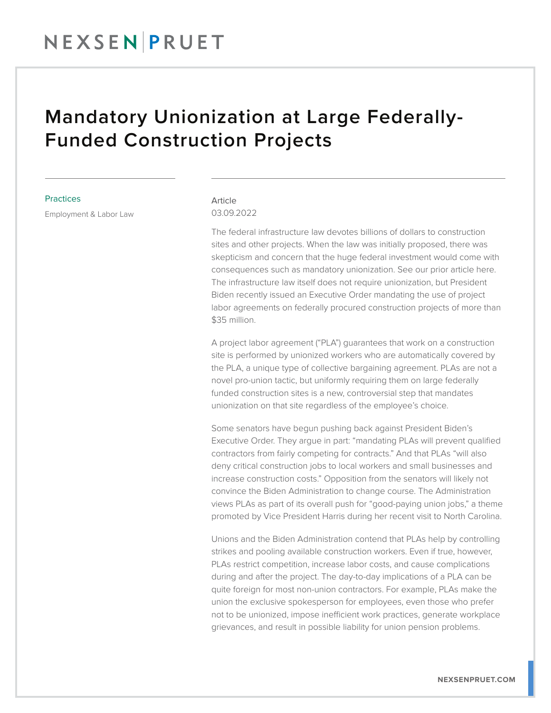## Mandatory Unionization at Large Federally-Funded Construction Projects

## **Practices**

Employment & Labor Law

## Article 03.09.2022

The federal infrastructure law devotes billions of dollars to construction sites and other projects. When the law was initially proposed, there was skepticism and concern that the huge federal investment would come with consequences such as mandatory unionization. See our prior article here. The infrastructure law itself does not require unionization, but President Biden recently issued an Executive Order mandating the use of project labor agreements on federally procured construction projects of more than \$35 million.

A project labor agreement ("PLA") guarantees that work on a construction site is performed by unionized workers who are automatically covered by the PLA, a unique type of collective bargaining agreement. PLAs are not a novel pro-union tactic, but uniformly requiring them on large federally funded construction sites is a new, controversial step that mandates unionization on that site regardless of the employee's choice.

Some senators have begun pushing back against President Biden's Executive Order. They argue in part: "mandating PLAs will prevent qualified contractors from fairly competing for contracts." And that PLAs "will also deny critical construction jobs to local workers and small businesses and increase construction costs." Opposition from the senators will likely not convince the Biden Administration to change course. The Administration views PLAs as part of its overall push for "good-paying union jobs," a theme promoted by Vice President Harris during her recent visit to North Carolina.

Unions and the Biden Administration contend that PLAs help by controlling strikes and pooling available construction workers. Even if true, however, PLAs restrict competition, increase labor costs, and cause complications during and after the project. The day-to-day implications of a PLA can be quite foreign for most non-union contractors. For example, PLAs make the union the exclusive spokesperson for employees, even those who prefer not to be unionized, impose inefficient work practices, generate workplace grievances, and result in possible liability for union pension problems.